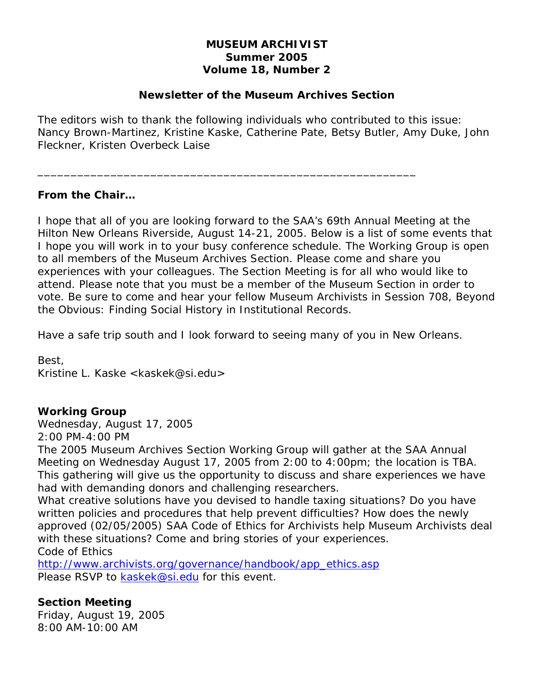## **MUSEUM ARCHIVIST Summer 2005 Volume 18, Number 2**

### **Newsletter of the Museum Archives Section**

The editors wish to thank the following individuals who contributed to this issue: Nancy Brown-Martinez, Kristine Kaske, Catherine Pate, Betsy Butler, Amy Duke, John Fleckner, Kristen Overbeck Laise

\_\_\_\_\_\_\_\_\_\_\_\_\_\_\_\_\_\_\_\_\_\_\_\_\_\_\_\_\_\_\_\_\_\_\_\_\_\_\_\_\_\_\_\_\_\_\_\_\_\_\_\_\_\_\_\_\_

#### **From the Chair…**

I hope that all of you are looking forward to the SAA's 69th Annual Meeting at the Hilton New Orleans Riverside, August 14-21, 2005. Below is a list of some events that I hope you will work in to your busy conference schedule. The Working Group is open to all members of the Museum Archives Section. Please come and share you experiences with your colleagues. The Section Meeting is for all who would like to attend. Please note that you must be a member of the Museum Section in order to vote. Be sure to come and hear your fellow Museum Archivists in Session 708, Beyond the Obvious: Finding Social History in Institutional Records.

Have a safe trip south and I look forward to seeing many of you in New Orleans.

Best, Kristine L. Kaske <kaskek@si.edu>

## **Working Group**

Wednesday, August 17, 2005 2:00 PM-4:00 PM

The 2005 Museum Archives Section Working Group will gather at the SAA Annual Meeting on Wednesday August 17, 2005 from 2:00 to 4:00pm; the location is TBA. This gathering will give us the opportunity to discuss and share experiences we have had with demanding donors and challenging researchers.

What creative solutions have you devised to handle taxing situations? Do you have written policies and procedures that help prevent difficulties? How does the newly approved (02/05/2005) SAA Code of Ethics for Archivists help Museum Archivists deal with these situations? Come and bring stories of your experiences. Code of Ethics

http://www.archivists.org/governance/handbook/app\_ethics.asp Please RSVP to kaskek@si.edu for this event.

## **Section Meeting**

Friday, August 19, 2005 8:00 AM-10:00 AM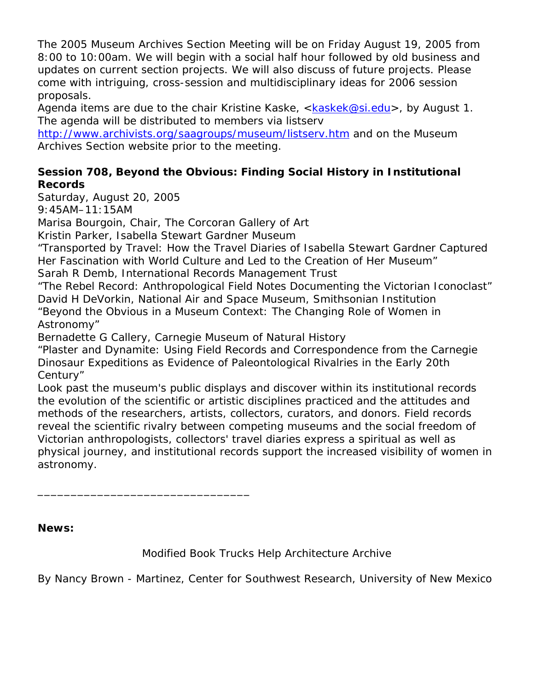The 2005 Museum Archives Section Meeting will be on Friday August 19, 2005 from 8:00 to 10:00am. We will begin with a social half hour followed by old business and updates on current section projects. We will also discuss of future projects. Please come with intriguing, cross-session and multidisciplinary ideas for 2006 session proposals.

Agenda items are due to the chair Kristine Kaske, <kaskek@si.edu>, by August 1. The agenda will be distributed to members via listserv

http://www.archivists.org/saagroups/museum/listserv.htm and on the Museum Archives Section website prior to the meeting.

## **Session 708, Beyond the Obvious: Finding Social History in Institutional Records**

Saturday, August 20, 2005

9:45AM–11:15AM

Marisa Bourgoin, Chair, *The Corcoran Gallery of Art*

Kristin Parker, *Isabella Stewart Gardner Museum*

\_\_\_\_\_\_\_\_\_\_\_\_\_\_\_\_\_\_\_\_\_\_\_\_\_\_\_\_\_\_\_\_

"Transported by Travel: How the Travel Diaries of Isabella Stewart Gardner Captured Her Fascination with World Culture and Led to the Creation of Her Museum" Sarah R Demb, *International Records Management Trust*

"The Rebel Record: Anthropological Field Notes Documenting the Victorian Iconoclast" David H DeVorkin, *National Air and Space Museum, Smithsonian Institution* "Beyond the Obvious in a Museum Context: The Changing Role of Women in Astronomy"

Bernadette G Callery, *Carnegie Museum of Natural History*

"Plaster and Dynamite: Using Field Records and Correspondence from the Carnegie Dinosaur Expeditions as Evidence of Paleontological Rivalries in the Early 20th Century"

Look past the museum's public displays and discover within its institutional records the evolution of the scientific or artistic disciplines practiced and the attitudes and methods of the researchers, artists, collectors, curators, and donors. Field records reveal the scientific rivalry between competing museums and the social freedom of Victorian anthropologists, collectors' travel diaries express a spiritual as well as physical journey, and institutional records support the increased visibility of women in astronomy.

**News:** 

Modified Book Trucks Help Architecture Archive

By Nancy Brown - Martinez, Center for Southwest Research, University of New Mexico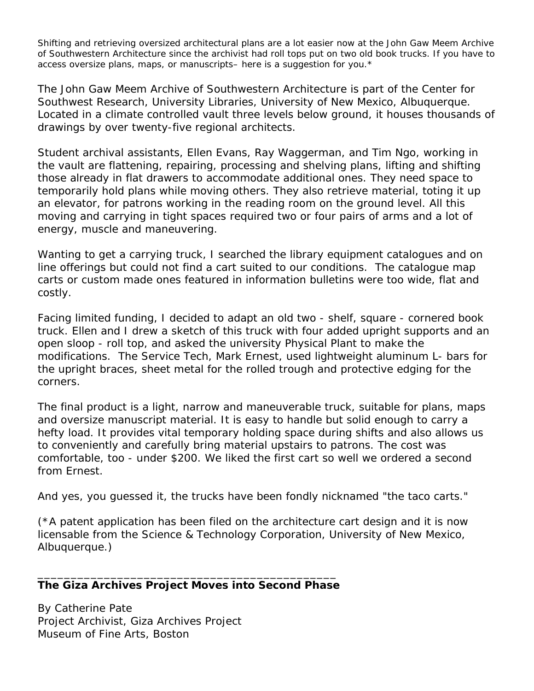Shifting and retrieving oversized architectural plans are a lot easier now at the John Gaw Meem Archive of Southwestern Architecture since the archivist had roll tops put on two old book trucks. If you have to access oversize plans, maps, or manuscripts– here is a suggestion for you.\*

The John Gaw Meem Archive of Southwestern Architecture is part of the Center for Southwest Research, University Libraries, University of New Mexico, Albuquerque. Located in a climate controlled vault three levels below ground, it houses thousands of drawings by over twenty-five regional architects.

Student archival assistants, Ellen Evans, Ray Waggerman, and Tim Ngo, working in the vault are flattening, repairing, processing and shelving plans, lifting and shifting those already in flat drawers to accommodate additional ones. They need space to temporarily hold plans while moving others. They also retrieve material, toting it up an elevator, for patrons working in the reading room on the ground level. All this moving and carrying in tight spaces required two or four pairs of arms and a lot of energy, muscle and maneuvering.

Wanting to get a carrying truck, I searched the library equipment catalogues and on line offerings but could not find a cart suited to our conditions. The catalogue map carts or custom made ones featured in information bulletins were too wide, flat and costly.

Facing limited funding, I decided to adapt an old two - shelf, square - cornered book truck. Ellen and I drew a sketch of this truck with four added upright supports and an open sloop - roll top, and asked the university Physical Plant to make the modifications. The Service Tech, Mark Ernest, used lightweight aluminum L- bars for the upright braces, sheet metal for the rolled trough and protective edging for the corners.

The final product is a light, narrow and maneuverable truck, suitable for plans, maps and oversize manuscript material. It is easy to handle but solid enough to carry a hefty load. It provides vital temporary holding space during shifts and also allows us to conveniently and carefully bring material upstairs to patrons. The cost was comfortable, too - under \$200. We liked the first cart so well we ordered a second from Ernest.

And yes, you guessed it, the trucks have been fondly nicknamed "the taco carts."

(\*A patent application has been filed on the architecture cart design and it is now licensable from the Science & Technology Corporation, University of New Mexico, Albuquerque.)

#### \_\_\_\_\_\_\_\_\_\_\_\_\_\_\_\_\_\_\_\_\_\_\_\_\_\_\_\_\_\_\_\_\_\_\_\_\_\_\_\_\_\_\_\_\_ **The** *Giza Archives Project* **Moves into Second Phase**

By Catherine Pate Project Archivist, Giza Archives Project Museum of Fine Arts, Boston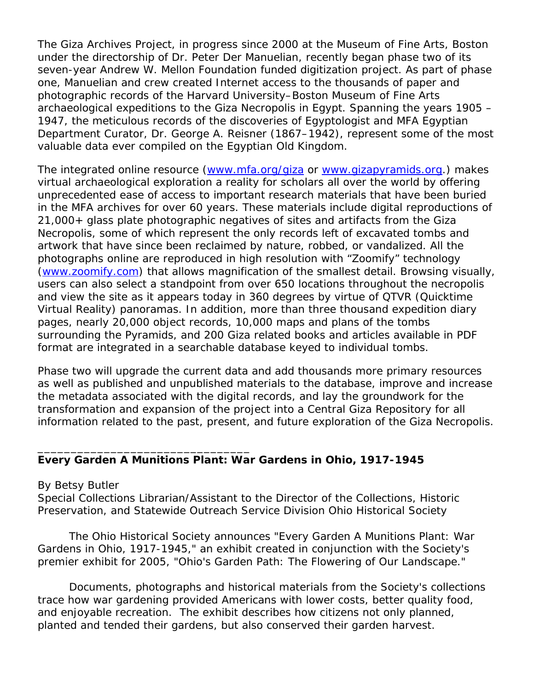The *Giza Archives Project*, in progress since 2000 at the Museum of Fine Arts, Boston under the directorship of Dr. Peter Der Manuelian, recently began phase two of its seven-year Andrew W. Mellon Foundation funded digitization project. As part of phase one, Manuelian and crew created Internet access to the thousands of paper and photographic records of the Harvard University–Boston Museum of Fine Arts archaeological expeditions to the Giza Necropolis in Egypt. Spanning the years 1905 – 1947, the meticulous records of the discoveries of Egyptologist and MFA Egyptian Department Curator, Dr. George A. Reisner (1867–1942), represent some of the most valuable data ever compiled on the Egyptian Old Kingdom.

The integrated online resource (www.mfa.org/giza or www.gizapyramids.org.) makes virtual archaeological exploration a reality for scholars all over the world by offering unprecedented ease of access to important research materials that have been buried in the MFA archives for over 60 years. These materials include digital reproductions of 21,000+ glass plate photographic negatives of sites and artifacts from the Giza Necropolis, some of which represent the only records left of excavated tombs and artwork that have since been reclaimed by nature, robbed, or vandalized. All the photographs online are reproduced in high resolution with "Zoomify" technology (www.zoomify.com) that allows magnification of the smallest detail. Browsing visually, users can also select a standpoint from over 650 locations throughout the necropolis and view the site as it appears today in 360 degrees by virtue of QTVR (Quicktime Virtual Reality) panoramas. In addition, more than three thousand expedition diary pages, nearly 20,000 object records, 10,000 maps and plans of the tombs surrounding the Pyramids, and 200 Giza related books and articles available in PDF format are integrated in a searchable database keyed to individual tombs.

Phase two will upgrade the current data and add thousands more primary resources as well as published and unpublished materials to the database, improve and increase the metadata associated with the digital records, and lay the groundwork for the transformation and expansion of the project into a *Central Giza Repository* for all information related to the past, present, and future exploration of the Giza Necropolis.

## **Every Garden A Munitions Plant: War Gardens in Ohio, 1917-1945**

By Betsy Butler

\_\_\_\_\_\_\_\_\_\_\_\_\_\_\_\_\_\_\_\_\_\_\_\_\_\_\_\_\_\_\_\_

Special Collections Librarian/Assistant to the Director of the Collections, Historic Preservation, and Statewide Outreach Service Division Ohio Historical Society

 The Ohio Historical Society announces "Every Garden A Munitions Plant: War Gardens in Ohio, 1917-1945," an exhibit created in conjunction with the Society's premier exhibit for 2005, "Ohio's Garden Path: The Flowering of Our Landscape."

 Documents, photographs and historical materials from the Society's collections trace how war gardening provided Americans with lower costs, better quality food, and enjoyable recreation. The exhibit describes how citizens not only planned, planted and tended their gardens, but also conserved their garden harvest.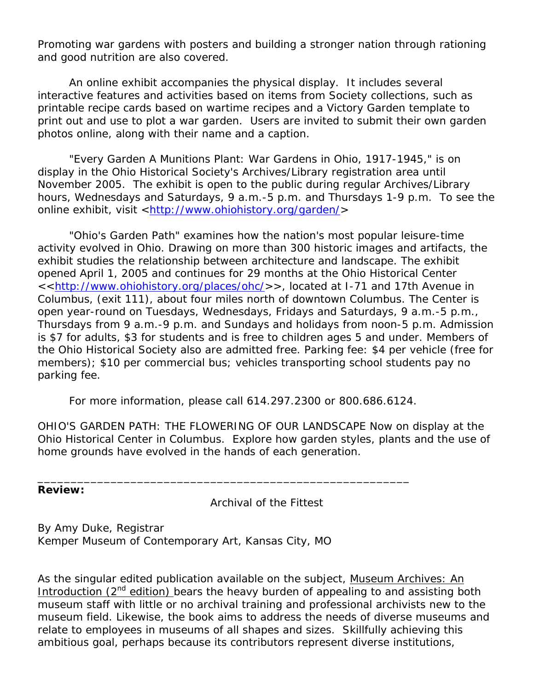Promoting war gardens with posters and building a stronger nation through rationing and good nutrition are also covered.

 An online exhibit accompanies the physical display. It includes several interactive features and activities based on items from Society collections, such as printable recipe cards based on wartime recipes and a Victory Garden template to print out and use to plot a war garden. Users are invited to submit their own garden photos online, along with their name and a caption.

 "Every Garden A Munitions Plant: War Gardens in Ohio, 1917-1945," is on display in the Ohio Historical Society's Archives/Library registration area until November 2005. The exhibit is open to the public during regular Archives/Library hours, Wednesdays and Saturdays, 9 a.m.-5 p.m. and Thursdays 1-9 p.m. To see the online exhibit, visit <http://www.ohiohistory.org/garden/>

 "Ohio's Garden Path" examines how the nation's most popular leisure-time activity evolved in Ohio. Drawing on more than 300 historic images and artifacts, the exhibit studies the relationship between architecture and landscape. The exhibit opened April 1, 2005 and continues for 29 months at the Ohio Historical Center <<http://www.ohiohistory.org/places/ohc/>>, located at I-71 and 17th Avenue in Columbus, (exit 111), about four miles north of downtown Columbus. The Center is open year-round on Tuesdays, Wednesdays, Fridays and Saturdays, 9 a.m.-5 p.m., Thursdays from 9 a.m.-9 p.m. and Sundays and holidays from noon-5 p.m. Admission is \$7 for adults, \$3 for students and is free to children ages 5 and under. Members of the Ohio Historical Society also are admitted free. Parking fee: \$4 per vehicle (free for members); \$10 per commercial bus; vehicles transporting school students pay no parking fee.

For more information, please call 614.297.2300 or 800.686.6124.

\_\_\_\_\_\_\_\_\_\_\_\_\_\_\_\_\_\_\_\_\_\_\_\_\_\_\_\_\_\_\_\_\_\_\_\_\_\_\_\_\_\_\_\_\_\_\_\_\_\_\_\_\_\_\_\_

OHIO'S GARDEN PATH: THE FLOWERING OF OUR LANDSCAPE Now on display at the Ohio Historical Center in Columbus. Explore how garden styles, plants and the use of home grounds have evolved in the hands of each generation.

**Review:** 

*Archival of the Fittest* 

By Amy Duke, Registrar Kemper Museum of Contemporary Art, Kansas City, MO

As the singular edited publication available on the subject, Museum Archives: An Introduction  $(2^{nd}$  edition) bears the heavy burden of appealing to and assisting both museum staff with little or no archival training and professional archivists new to the museum field. Likewise, the book aims to address the needs of diverse museums and relate to employees in museums of all shapes and sizes. Skillfully achieving this ambitious goal, perhaps because its contributors represent diverse institutions,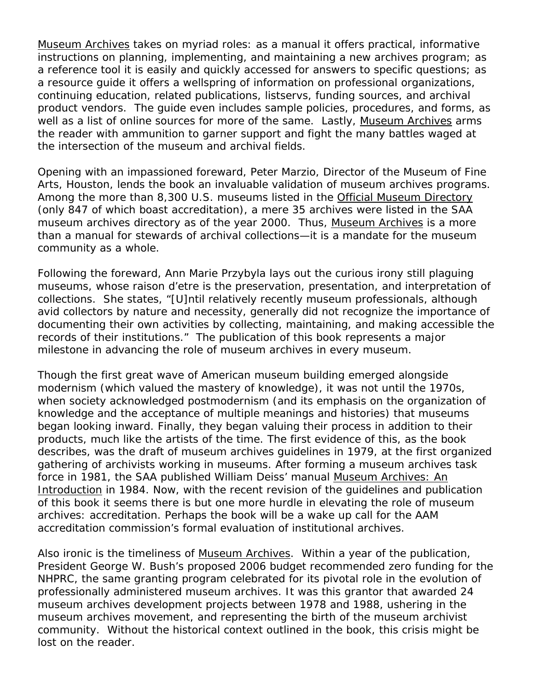Museum Archives takes on myriad roles: as a manual it offers practical, informative instructions on planning, implementing, and maintaining a new archives program; as a reference tool it is easily and quickly accessed for answers to specific questions; as a resource guide it offers a wellspring of information on professional organizations, continuing education, related publications, listservs, funding sources, and archival product vendors. The guide even includes sample policies, procedures, and forms, as well as a list of online sources for more of the same. Lastly, Museum Archives arms the reader with ammunition to garner support and fight the many battles waged at the intersection of the museum and archival fields.

Opening with an impassioned foreward, Peter Marzio, Director of the Museum of Fine Arts, Houston, lends the book an invaluable validation of museum archives programs. Among the more than 8,300 U.S. museums listed in the Official Museum Directory (only 847 of which boast accreditation), a mere 35 archives were listed in the SAA museum archives directory as of the year 2000. Thus, Museum Archives is a more than a manual for stewards of archival collections—it is a mandate for the museum community as a whole.

Following the foreward, Ann Marie Przybyla lays out the curious irony still plaguing museums, whose raison d'etre is the preservation, presentation, and interpretation of collections. She states, "[U]ntil relatively recently museum professionals, although avid collectors by nature and necessity, generally did not recognize the importance of documenting their own activities by collecting, maintaining, and making accessible the records of their institutions." The publication of this book represents a major milestone in advancing the role of museum archives in every museum.

Though the first great wave of American museum building emerged alongside modernism (which valued the *mastery* of knowledge), it was not until the 1970s, when society acknowledged postmodernism (and its emphasis on the *organization* of knowledge and the acceptance of multiple meanings and histories) that museums began looking inward. Finally, they began valuing their process in addition to their products, much like the artists of the time. The first evidence of this, as the book describes, was the draft of museum archives guidelines in 1979, at the first organized gathering of archivists working in museums. After forming a museum archives task force in 1981, the SAA published William Deiss' manual Museum Archives: An Introduction in 1984. Now, with the recent revision of the guidelines and publication of this book it seems there is but one more hurdle in elevating the role of museum archives: accreditation. Perhaps the book will be a wake up call for the AAM accreditation commission's formal evaluation of institutional archives.

Also ironic is the timeliness of Museum Archives. Within a year of the publication, President George W. Bush's proposed 2006 budget recommended zero funding for the NHPRC, the same granting program celebrated for its pivotal role in the evolution of professionally administered museum archives. It was this grantor that awarded 24 museum archives development projects between 1978 and 1988, ushering in the museum archives movement, and representing the birth of the museum archivist community. Without the historical context outlined in the book, this crisis might be lost on the reader.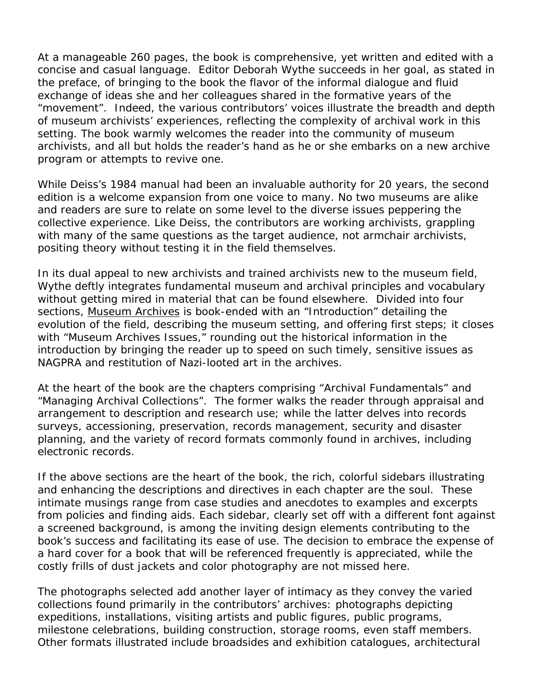At a manageable 260 pages, the book is comprehensive, yet written and edited with a concise and casual language. Editor Deborah Wythe succeeds in her goal, as stated in the preface, of bringing to the book the flavor of the informal dialogue and fluid exchange of ideas she and her colleagues shared in the formative years of the "movement". Indeed, the various contributors' voices illustrate the breadth and depth of museum archivists' experiences, reflecting the complexity of archival work in this setting. The book warmly welcomes the reader into the community of museum archivists, and all but holds the reader's hand as he or she embarks on a new archive program or attempts to revive one.

While Deiss's 1984 manual had been an invaluable authority for 20 years, the second edition is a welcome expansion from one voice to many. No two museums are alike and readers are sure to relate on some level to the diverse issues peppering the collective experience. Like Deiss, the contributors are working archivists, grappling with many of the same questions as the target audience, not armchair archivists, positing theory without testing it in the field themselves.

In its dual appeal to new archivists and trained archivists new to the museum field, Wythe deftly integrates fundamental museum and archival principles and vocabulary without getting mired in material that can be found elsewhere. Divided into four sections, Museum Archives is book-ended with an "Introduction" detailing the evolution of the field, describing the museum setting, and offering first steps; it closes with "Museum Archives Issues," rounding out the historical information in the introduction by bringing the reader up to speed on such timely, sensitive issues as NAGPRA and restitution of Nazi-looted art in the archives.

At the heart of the book are the chapters comprising "Archival Fundamentals" and "Managing Archival Collections". The former walks the reader through appraisal and arrangement to description and research use; while the latter delves into records surveys, accessioning, preservation, records management, security and disaster planning, and the variety of record formats commonly found in archives, including electronic records.

If the above sections are the heart of the book, the rich, colorful sidebars illustrating and enhancing the descriptions and directives in each chapter are the soul. These intimate musings range from case studies and anecdotes to examples and excerpts from policies and finding aids. Each sidebar, clearly set off with a different font against a screened background, is among the inviting design elements contributing to the book's success and facilitating its ease of use. The decision to embrace the expense of a hard cover for a book that will be referenced frequently is appreciated, while the costly frills of dust jackets and color photography are not missed here.

The photographs selected add another layer of intimacy as they convey the varied collections found primarily in the contributors' archives: photographs depicting expeditions, installations, visiting artists and public figures, public programs, milestone celebrations, building construction, storage rooms, even staff members. Other formats illustrated include broadsides and exhibition catalogues, architectural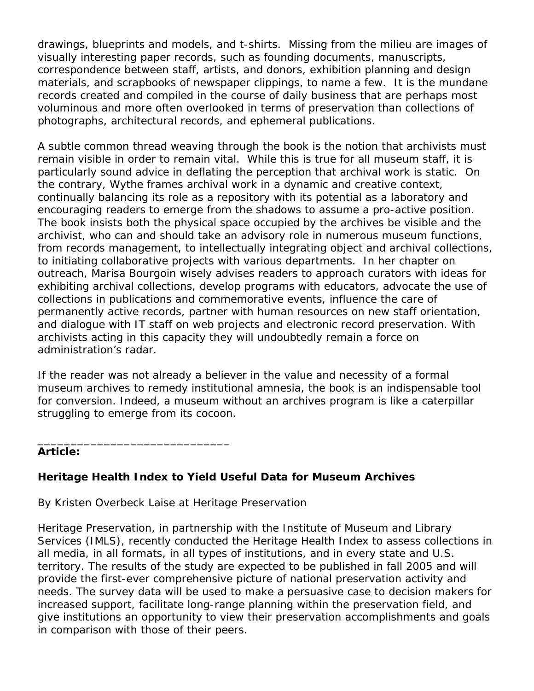drawings, blueprints and models, and t-shirts. Missing from the milieu are images of visually interesting paper records, such as founding documents, manuscripts, correspondence between staff, artists, and donors, exhibition planning and design materials, and scrapbooks of newspaper clippings, to name a few. It is the mundane records created and compiled in the course of daily business that are perhaps most voluminous and more often overlooked in terms of preservation than collections of photographs, architectural records, and ephemeral publications.

A subtle common thread weaving through the book is the notion that archivists must remain visible in order to remain vital. While this is true for all museum staff, it is particularly sound advice in deflating the perception that archival work is static. On the contrary, Wythe frames archival work in a dynamic and creative context, continually balancing its role as a repository with its potential as a laboratory and encouraging readers to emerge from the shadows to assume a pro-active position. The book insists both the physical space occupied by the archives be visible *and* the archivist, who can and should take an advisory role in numerous museum functions, from records management, to intellectually integrating object and archival collections, to initiating collaborative projects with various departments. In her chapter on outreach, Marisa Bourgoin wisely advises readers to approach curators with ideas for exhibiting archival collections, develop programs with educators, advocate the use of collections in publications and commemorative events, influence the care of permanently active records, partner with human resources on new staff orientation, and dialogue with IT staff on web projects and electronic record preservation. With archivists acting in this capacity they will undoubtedly remain a force on administration's radar.

If the reader was not already a believer in the value and necessity of a formal museum archives to remedy institutional amnesia, the book is an indispensable tool for conversion. Indeed, a museum without an archives program is like a caterpillar struggling to emerge from its cocoon.

#### **Article:**

# **Heritage Health Index to Yield Useful Data for Museum Archives**

By Kristen Overbeck Laise at Heritage Preservation

\_\_\_\_\_\_\_\_\_\_\_\_\_\_\_\_\_\_\_\_\_\_\_\_\_\_\_\_\_

Heritage Preservation, in partnership with the Institute of Museum and Library Services (IMLS), recently conducted the Heritage Health Index to assess collections in all media, in all formats, in all types of institutions, and in every state and U.S. territory. The results of the study are expected to be published in fall 2005 and will provide the first-ever comprehensive picture of national preservation activity and needs. The survey data will be used to make a persuasive case to decision makers for increased support, facilitate long-range planning within the preservation field, and give institutions an opportunity to view their preservation accomplishments and goals in comparison with those of their peers.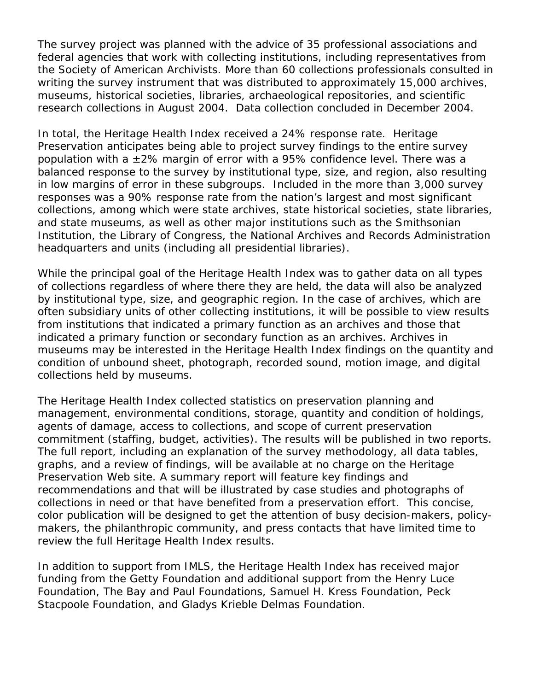The survey project was planned with the advice of 35 professional associations and federal agencies that work with collecting institutions, including representatives from the Society of American Archivists. More than 60 collections professionals consulted in writing the survey instrument that was distributed to approximately 15,000 archives, museums, historical societies, libraries, archaeological repositories, and scientific research collections in August 2004. Data collection concluded in December 2004.

In total, the Heritage Health Index received a 24% response rate. Heritage Preservation anticipates being able to project survey findings to the entire survey population with a  $\pm 2\%$  margin of error with a 95% confidence level. There was a balanced response to the survey by institutional type, size, and region, also resulting in low margins of error in these subgroups. Included in the more than 3,000 survey responses was a 90% response rate from the nation's largest and most significant collections, among which were state archives, state historical societies, state libraries, and state museums, as well as other major institutions such as the Smithsonian Institution, the Library of Congress, the National Archives and Records Administration headquarters and units (including all presidential libraries).

While the principal goal of the Heritage Health Index was to gather data on all types of collections regardless of where there they are held, the data will also be analyzed by institutional type, size, and geographic region. In the case of archives, which are often subsidiary units of other collecting institutions, it will be possible to view results from institutions that indicated a primary function as an archives and those that indicated a primary function or secondary function as an archives. Archives in museums may be interested in the Heritage Health Index findings on the quantity and condition of unbound sheet, photograph, recorded sound, motion image, and digital collections held by museums.

The Heritage Health Index collected statistics on preservation planning and management, environmental conditions, storage, quantity and condition of holdings, agents of damage, access to collections, and scope of current preservation commitment (staffing, budget, activities). The results will be published in two reports. The full report, including an explanation of the survey methodology, all data tables, graphs, and a review of findings, will be available at no charge on the Heritage Preservation Web site. A summary report will feature key findings and recommendations and that will be illustrated by case studies and photographs of collections in need or that have benefited from a preservation effort. This concise, color publication will be designed to get the attention of busy decision-makers, policymakers, the philanthropic community, and press contacts that have limited time to review the full Heritage Health Index results.

In addition to support from IMLS, the Heritage Health Index has received major funding from the Getty Foundation and additional support from the Henry Luce Foundation, The Bay and Paul Foundations, Samuel H. Kress Foundation, Peck Stacpoole Foundation, and Gladys Krieble Delmas Foundation.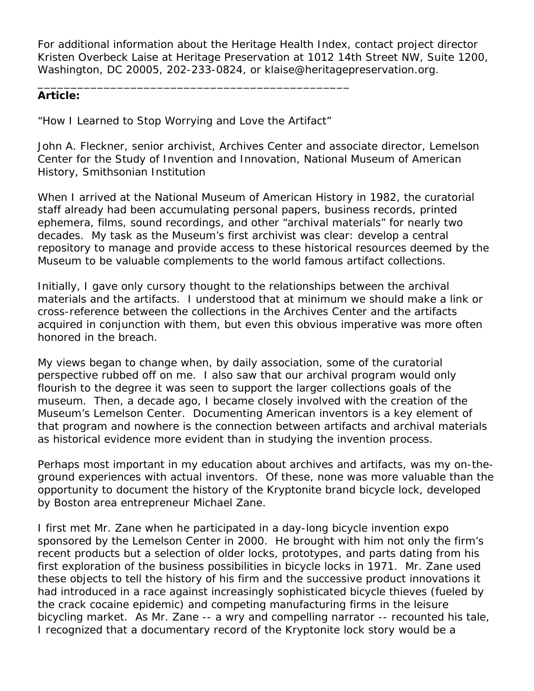For additional information about the Heritage Health Index, contact project director Kristen Overbeck Laise at Heritage Preservation at 1012 14th Street NW, Suite 1200, Washington, DC 20005, 202-233-0824, or klaise@heritagepreservation.org.

## **Article:**

"How I Learned to Stop Worrying and Love the Artifact"

\_\_\_\_\_\_\_\_\_\_\_\_\_\_\_\_\_\_\_\_\_\_\_\_\_\_\_\_\_\_\_\_\_\_\_\_\_\_\_\_\_\_\_\_\_\_\_

John A. Fleckner, senior archivist, Archives Center and associate director, Lemelson Center for the Study of Invention and Innovation, National Museum of American History, Smithsonian Institution

When I arrived at the National Museum of American History in 1982, the curatorial staff already had been accumulating personal papers, business records, printed ephemera, films, sound recordings, and other "archival materials" for nearly two decades. My task as the Museum's first archivist was clear: develop a central repository to manage and provide access to these historical resources deemed by the Museum to be valuable complements to the world famous artifact collections.

Initially, I gave only cursory thought to the relationships between the archival materials and the artifacts. I understood that at minimum we should make a link or cross-reference between the collections in the Archives Center and the artifacts acquired in conjunction with them, but even this obvious imperative was more often honored in the breach.

My views began to change when, by daily association, some of the curatorial perspective rubbed off on me. I also saw that our archival program would only flourish to the degree it was seen to support the larger collections goals of the museum. Then, a decade ago, I became closely involved with the creation of the Museum's Lemelson Center. Documenting American inventors is a key element of that program and nowhere is the connection between artifacts and archival materials as historical evidence more evident than in studying the invention process.

Perhaps most important in my education about archives and artifacts, was my on-theground experiences with actual inventors. Of these, none was more valuable than the opportunity to document the history of the Kryptonite brand bicycle lock, developed by Boston area entrepreneur Michael Zane.

I first met Mr. Zane when he participated in a day-long bicycle invention expo sponsored by the Lemelson Center in 2000. He brought with him not only the firm's recent products but a selection of older locks, prototypes, and parts dating from his first exploration of the business possibilities in bicycle locks in 1971. Mr. Zane used these objects to tell the history of his firm and the successive product innovations it had introduced in a race against increasingly sophisticated bicycle thieves (fueled by the crack cocaine epidemic) and competing manufacturing firms in the leisure bicycling market. As Mr. Zane -- a wry and compelling narrator -- recounted his tale, I recognized that a documentary record of the Kryptonite lock story would be a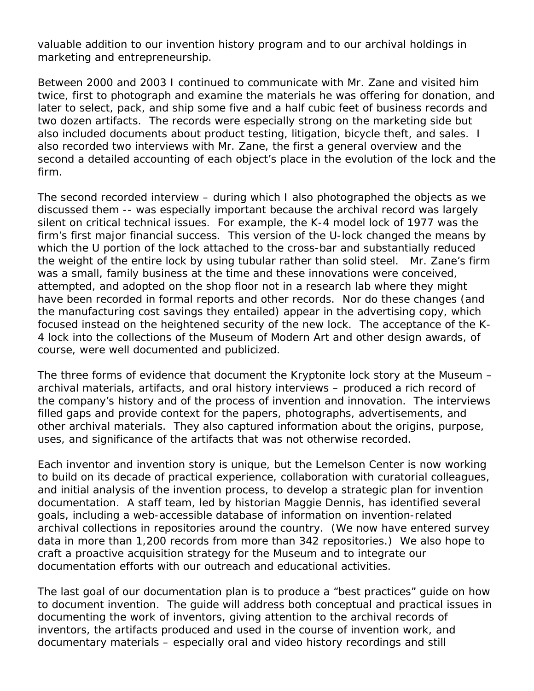valuable addition to our invention history program and to our archival holdings in marketing and entrepreneurship.

Between 2000 and 2003 I continued to communicate with Mr. Zane and visited him twice, first to photograph and examine the materials he was offering for donation, and later to select, pack, and ship some five and a half cubic feet of business records and two dozen artifacts. The records were especially strong on the marketing side but also included documents about product testing, litigation, bicycle theft, and sales. I also recorded two interviews with Mr. Zane, the first a general overview and the second a detailed accounting of each object's place in the evolution of the lock and the firm.

The second recorded interview – during which I also photographed the objects as we discussed them -- was especially important because the archival record was largely silent on critical technical issues. For example, the K-4 model lock of 1977 was the firm's first major financial success. This version of the U-lock changed the means by which the U portion of the lock attached to the cross-bar and substantially reduced the weight of the entire lock by using tubular rather than solid steel. Mr. Zane's firm was a small, family business at the time and these innovations were conceived, attempted, and adopted on the shop floor not in a research lab where they might have been recorded in formal reports and other records. Nor do these changes (and the manufacturing cost savings they entailed) appear in the advertising copy, which focused instead on the heightened security of the new lock. The acceptance of the K-4 lock into the collections of the Museum of Modern Art and other design awards, of course, were well documented and publicized.

The three forms of evidence that document the Kryptonite lock story at the Museum – archival materials, artifacts, and oral history interviews – produced a rich record of the company's history and of the process of invention and innovation. The interviews filled gaps and provide context for the papers, photographs, advertisements, and other archival materials. They also captured information about the origins, purpose, uses, and significance of the artifacts that was not otherwise recorded.

Each inventor and invention story is unique, but the Lemelson Center is now working to build on its decade of practical experience, collaboration with curatorial colleagues, and initial analysis of the invention process, to develop a strategic plan for invention documentation. A staff team, led by historian Maggie Dennis, has identified several goals, including a web-accessible database of information on invention-related archival collections in repositories around the country. (We now have entered survey data in more than 1,200 records from more than 342 repositories.) We also hope to craft a proactive acquisition strategy for the Museum and to integrate our documentation efforts with our outreach and educational activities.

The last goal of our documentation plan is to produce a "best practices" guide on how to document invention. The guide will address both conceptual and practical issues in documenting the work of inventors, giving attention to the archival records of inventors, the artifacts produced and used in the course of invention work, and documentary materials – especially oral and video history recordings and still